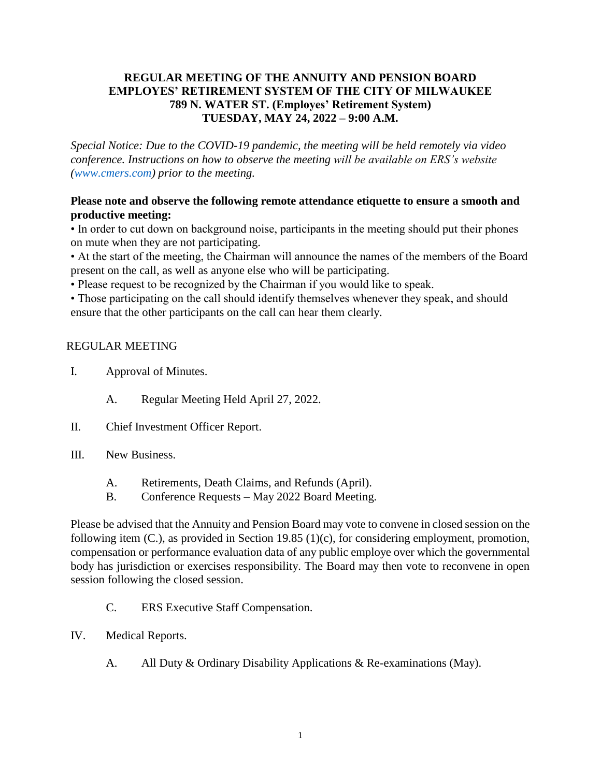### **REGULAR MEETING OF THE ANNUITY AND PENSION BOARD EMPLOYES' RETIREMENT SYSTEM OF THE CITY OF MILWAUKEE 789 N. WATER ST. (Employes' Retirement System) TUESDAY, MAY 24, 2022 – 9:00 A.M.**

*Special Notice: Due to the COVID-19 pandemic, the meeting will be held remotely via video conference. Instructions on how to observe the meeting will be available on ERS's website [\(www.cmers.com\)](http://www.cmers.com/) prior to the meeting.*

### **Please note and observe the following remote attendance etiquette to ensure a smooth and productive meeting:**

• In order to cut down on background noise, participants in the meeting should put their phones on mute when they are not participating.

• At the start of the meeting, the Chairman will announce the names of the members of the Board present on the call, as well as anyone else who will be participating.

• Please request to be recognized by the Chairman if you would like to speak.

• Those participating on the call should identify themselves whenever they speak, and should ensure that the other participants on the call can hear them clearly.

### REGULAR MEETING

- I. Approval of Minutes.
	- A. Regular Meeting Held April 27, 2022.
- II. Chief Investment Officer Report.
- III. New Business.
	- A. Retirements, Death Claims, and Refunds (April).
	- B. Conference Requests May 2022 Board Meeting.

Please be advised that the Annuity and Pension Board may vote to convene in closed session on the following item (C.), as provided in Section 19.85 (1)(c), for considering employment, promotion, compensation or performance evaluation data of any public employe over which the governmental body has jurisdiction or exercises responsibility. The Board may then vote to reconvene in open session following the closed session.

- C. ERS Executive Staff Compensation.
- IV. Medical Reports.
	- A. All Duty & Ordinary Disability Applications & Re-examinations (May).